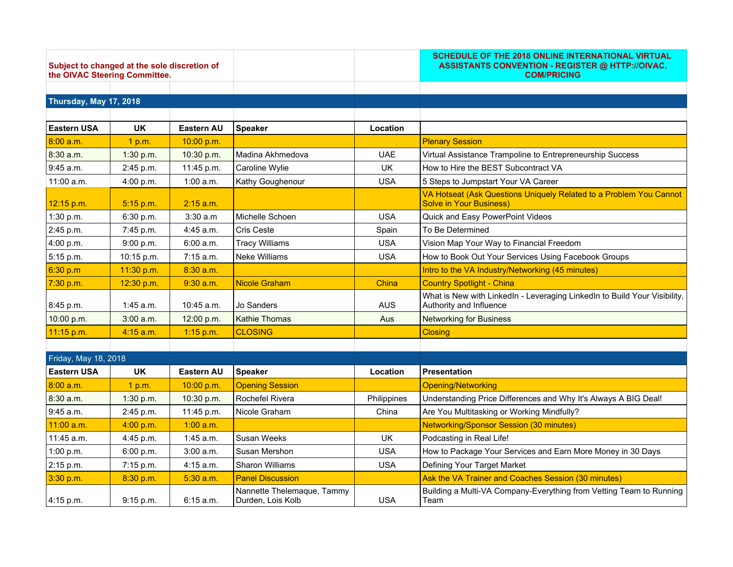| Subject to changed at the sole discretion of<br>the OIVAC Steering Committee. |             |                   |                        |             | SCHEDULE OF THE 2018 ONLINE INTERNATIONAL VIRTUAL<br>ASSISTANTS CONVENTION - REGISTER @ HTTP://OIVAC.<br><b>COM/PRICING</b> |  |
|-------------------------------------------------------------------------------|-------------|-------------------|------------------------|-------------|-----------------------------------------------------------------------------------------------------------------------------|--|
|                                                                               |             |                   |                        |             |                                                                                                                             |  |
| <b>Thursday, May 17, 2018</b>                                                 |             |                   |                        |             |                                                                                                                             |  |
| <b>Eastern USA</b>                                                            | <b>UK</b>   | <b>Eastern AU</b> | <b>Speaker</b>         | Location    |                                                                                                                             |  |
| 8:00 a.m.                                                                     | 1 p.m.      | 10:00 p.m.        |                        |             | <b>Plenary Session</b>                                                                                                      |  |
| 8:30 a.m.                                                                     | 1:30 p.m.   | 10:30 p.m.        | Madina Akhmedova       | <b>UAE</b>  | Virtual Assistance Trampoline to Entrepreneurship Success                                                                   |  |
| 9:45 a.m.                                                                     | 2:45 p.m.   | 11:45 p.m.        | Caroline Wylie         | <b>UK</b>   | How to Hire the BEST Subcontract VA                                                                                         |  |
| 11:00 a.m.                                                                    | 4:00 p.m.   | $1:00$ a.m.       | Kathy Goughenour       | <b>USA</b>  | 5 Steps to Jumpstart Your VA Career                                                                                         |  |
| 12:15 p.m.                                                                    | 5:15 p.m.   | $2:15$ a.m.       |                        |             | VA Hotseat (Ask Questions Uniquely Related to a Problem You Cannot<br><b>Solve in Your Business)</b>                        |  |
| 1:30 p.m.                                                                     | 6:30 p.m.   | 3:30 a.m          | Michelle Schoen        | <b>USA</b>  | Quick and Easy PowerPoint Videos                                                                                            |  |
| 2:45 p.m.                                                                     | 7:45 p.m.   | 4:45 a.m.         | Cris Ceste             | Spain       | To Be Determined                                                                                                            |  |
| 4:00 p.m.                                                                     | 9:00 p.m.   | 6:00 a.m.         | <b>Tracy Williams</b>  | <b>USA</b>  | Vision Map Your Way to Financial Freedom                                                                                    |  |
| 5:15 p.m.                                                                     | 10:15 p.m.  | 7:15 a.m.         | <b>Neke Williams</b>   | <b>USA</b>  | How to Book Out Your Services Using Facebook Groups                                                                         |  |
| 6:30 p.m                                                                      | 11:30 p.m.  | $8:30$ a.m.       |                        |             | Intro to the VA Industry/Networking (45 minutes)                                                                            |  |
| 7:30 p.m.                                                                     | 12:30 p.m.  | $9:30$ a.m.       | <b>Nicole Graham</b>   | China       | <b>Country Spotlight - China</b>                                                                                            |  |
| 8:45 p.m.                                                                     | $1:45$ a.m. | 10:45 a.m.        | Jo Sanders             | <b>AUS</b>  | What is New with LinkedIn - Leveraging LinkedIn to Build Your Visibility,<br>Authority and Influence                        |  |
| 10:00 p.m.                                                                    | 3:00 a.m.   | 12:00 p.m.        | <b>Kathie Thomas</b>   | Aus         | <b>Networking for Business</b>                                                                                              |  |
| 11:15 p.m.                                                                    | $4:15$ a.m. | 1:15 p.m.         | <b>CLOSING</b>         |             | <b>Closing</b>                                                                                                              |  |
|                                                                               |             |                   |                        |             |                                                                                                                             |  |
| Friday, May 18, 2018                                                          |             |                   |                        |             |                                                                                                                             |  |
| <b>Eastern USA</b>                                                            | <b>UK</b>   | <b>Eastern AU</b> | <b>Speaker</b>         | Location    | <b>Presentation</b>                                                                                                         |  |
| 8:00 a.m.                                                                     | 1 p.m.      | 10:00 p.m.        | <b>Opening Session</b> |             | <b>Opening/Networking</b>                                                                                                   |  |
| 8:30 a.m.                                                                     | 1:30 p.m.   | 10:30 p.m.        | Rochefel Rivera        | Philippines | Understanding Price Differences and Why It's Always A BIG Deal!                                                             |  |
| 9:45 a.m.                                                                     | 2:45 p.m.   | 11:45 p.m.        | Nicole Graham          | China       | Are You Multitasking or Working Mindfully?                                                                                  |  |
| 11:00 a.m.                                                                    | 4:00 p.m.   | $1:00$ a.m.       |                        |             | <b>Networking/Sponsor Session (30 minutes)</b>                                                                              |  |

| <u>11:00 a.m.</u> | 4:00 p.m.   | $1:00$ a.m. |                                                 |     | Networking/Sponsor Session (30 minutes)                                       |
|-------------------|-------------|-------------|-------------------------------------------------|-----|-------------------------------------------------------------------------------|
| 11:45 a.m.        | $4:45$ p.m. | $1:45$ a.m. | <b>Susan Weeks</b>                              | UK  | Podcasting in Real Life!                                                      |
| 1:00 p.m.         | 6:00 p.m.   | 3:00 a.m.   | l Susan Mershon                                 | USA | How to Package Your Services and Earn More Money in 30 Days                   |
| $ 2:15$ p.m.      | $7:15$ p.m. | $4:15$ a.m. | l Sharon Williams                               | USA | Defining Your Target Market                                                   |
| 3:30 p.m.         | $8:30$ p.m. | $5:30$ a.m. | <b>Panel Discussion</b>                         |     | Ask the VA Trainer and Coaches Session (30 minutes)                           |
| 4:15 p.m.         | $9:15$ p.m. | $6:15$ a.m. | Nannette Thelemaque, Tammy<br>Durden, Lois Kolb | USA | Building a Multi-VA Company-Everything from Vetting Team to Running  <br>Team |